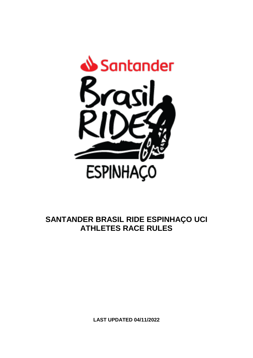

# **SANTANDER BRASIL RIDE ESPINHAÇO UCI ATHLETES RACE RULES**

**LAST UPDATED 04/11/2022**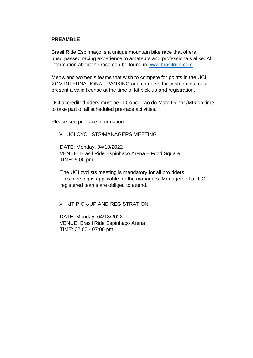#### **PREAMBLE**

Brasil Ride Espinhaço is a unique mountain bike race that offers unsurpassed racing experience to amateurs and professionals alike. All information about the race can be found in [www.brasilride.com](http://www.brasilride.com/)

Men's and women's teams that wish to compete for points in the UCI XCM INTERNATIONAL RANKING and compete for cash prizes must present a valid license at the time of kit pick-up and registration.

UCI accredited riders must be in Conceição do Mato Dentro/MG on time to take part of all scheduled pre-race activities.

Please see pre-race information:

 $\triangleright$  UCI CYCLISTS/MANAGERS MEETING

 DATE: Monday, 04/18/2022 VENUE: Brasil Ride Espinhaço Arena – Food Square TIME: 5 00 pm

The UCI cyclists meeting is mandatory for all pro riders This meeting is applicable for the managers. Managers of all UCI registered teams are obliged to attend.

#### $\triangleright$  KIT PICK-UP AND REGISTRATION

 DATE: Monday, 04/18/2022 VENUE: Brasil Ride Espinhaço Arena TIME: 02:00 - 07:00 pm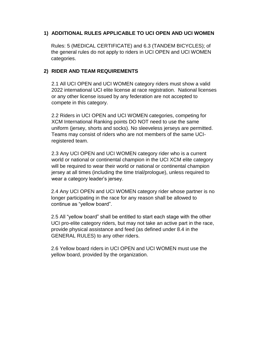## **1) ADDITIONAL RULES APPLICABLE TO UCI OPEN AND UCI WOMEN**

Rules: 5 (MEDICAL CERTIFICATE) and 6.3 (TANDEM BICYCLES); of the general rules do not apply to riders in UCI OPEN and UCI WOMEN categories.

## **2) RIDER AND TEAM REQUIREMENTS**

2.1 All UCI OPEN and UCI WOMEN category riders must show a valid 2022 international UCI elite license at race registration. National licenses or any other license issued by any federation are not accepted to compete in this category.

2.2 Riders in UCI OPEN and UCI WOMEN categories, competing for XCM International Ranking points DO NOT need to use the same uniform (jersey, shorts and socks). No sleeveless jerseys are permitted. Teams may consist of riders who are not members of the same UCIregistered team.

2.3 Any UCI OPEN and UCI WOMEN category rider who is a current world or national or continental champion in the UCI XCM elite category will be required to wear their world or national or continental champion jersey at all times (including the time trial/prologue), unless required to wear a category leader's jersey.

2.4 Any UCI OPEN and UCI WOMEN category rider whose partner is no longer participating in the race for any reason shall be allowed to continue as "yellow board".

2.5 All "yellow board" shall be entitled to start each stage with the other UCI pro-elite category riders, but may not take an active part in the race, provide physical assistance and feed (as defined under 8.4 in the GENERAL RULES) to any other riders.

2.6 Yellow board riders in UCI OPEN and UCI WOMEN must use the yellow board, provided by the organization.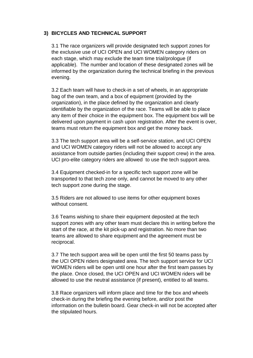## **3) BICYCLES AND TECHNICAL SUPPORT**

3.1 The race organizers will provide designated tech support zones for the exclusive use of UCI OPEN and UCI WOMEN category riders on each stage, which may exclude the team time trial/prologue (if applicable). The number and location of these designated zones will be informed by the organization during the technical briefing in the previous evening.

3.2 Each team will have to check-in a set of wheels, in an appropriate bag of the own team, and a box of equipment (provided by the organization), in the place defined by the organization and clearly identifiable by the organization of the race. Teams will be able to place any item of their choice in the equipment box. The equipment box will be delivered upon payment in cash upon registration. After the event is over, teams must return the equipment box and get the money back.

3.3 The tech support area will be a self-service station, and UCI OPEN and UCI WOMEN category riders will not be allowed to accept any assistance from outside parties (including their support crew) in the area. UCI pro-elite category riders are allowed to use the tech support area.

3.4 Equipment checked-in for a specific tech support zone will be transported to that tech zone only, and cannot be moved to any other tech support zone during the stage.

3.5 Riders are not allowed to use items for other equipment boxes without consent.

3.6 Teams wishing to share their equipment deposited at the tech support zones with any other team must declare this in writing before the start of the race, at the kit pick-up and registration. No more than two teams are allowed to share equipment and the agreement must be reciprocal.

3.7 The tech support area will be open until the first 50 teams pass by the UCI OPEN riders designated area. The tech support service for UCI WOMEN riders will be open until one hour after the first team passes by the place. Once closed, the UCI OPEN and UCI WOMEN riders will be allowed to use the neutral assistance (if present), entitled to all teams.

3.8 Race organizers will inform place and time for the box and wheels check-in during the briefing the evening before, and/or post the information on the bulletin board. Gear check-in will not be accepted after the stipulated hours.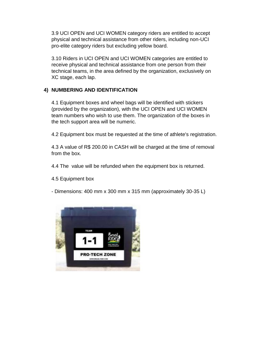3.9 UCI OPEN and UCI WOMEN category riders are entitled to accept physical and technical assistance from other riders, including non-UCI pro-elite category riders but excluding yellow board.

3.10 Riders in UCI OPEN and UCI WOMEN categories are entitled to receive physical and technical assistance from one person from their technical teams, in the area defined by the organization, exclusively on XC stage, each lap.

## **4) NUMBERING AND IDENTIFICATION**

4.1 Equipment boxes and wheel bags will be identified with stickers (provided by the organization), with the UCI OPEN and UCI WOMEN team numbers who wish to use them. The organization of the boxes in the tech support area will be numeric.

4.2 Equipment box must be requested at the time of athlete's registration.

4.3 A value of R\$ 200.00 in CASH will be charged at the time of removal from the box.

4.4 The value will be refunded when the equipment box is returned.

4.5 Equipment box

- Dimensions: 400 mm x 300 mm x 315 mm (approximately 30-35 L)

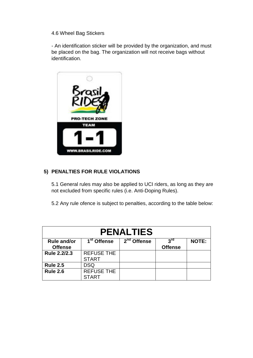#### 4.6 Wheel Bag Stickers

- An identification sticker will be provided by the organization, and must be placed on the bag. The organization will not receive bags without identification.



## **5) PENALTIES FOR RULE VIOLATIONS**

5.1 General rules may also be applied to UCI riders, as long as they are not excluded from specific rules (i.e. Anti-Doping Rules).

5.2 Any rule ofence is subject to penalties, according to the table below:

| <b>PENALTIES</b>                     |                                   |               |                                   |              |  |
|--------------------------------------|-----------------------------------|---------------|-----------------------------------|--------------|--|
| <b>Rule and/or</b><br><b>Offense</b> | 1 <sup>st</sup> Offense           | $2nd$ Offense | 3 <sup>rd</sup><br><b>Offense</b> | <b>NOTE:</b> |  |
| Rule 2.2/2.3                         | <b>REFUSE THE</b><br><b>START</b> |               |                                   |              |  |
| <b>Rule 2.5</b>                      | <b>DSQ</b>                        |               |                                   |              |  |
| <b>Rule 2.6</b>                      | <b>REFUSE THE</b><br><b>START</b> |               |                                   |              |  |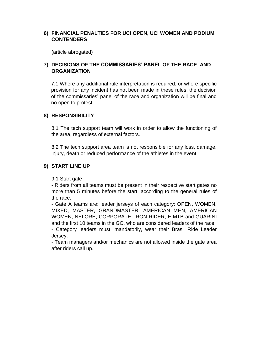### **6) FINANCIAL PENALTIES FOR UCI OPEN, UCI WOMEN AND PODIUM CONTENDERS**

(article abrogated)

## **7) DECISIONS OF THE COMMISSARIES' PANEL OF THE RACE AND ORGANIZATION**

7.1 Where any additional rule interpretation is required, or where specific provision for any incident has not been made in these rules, the decision of the commissaries' panel of the race and organization will be final and no open to protest.

#### **8) RESPONSIBILITY**

8.1 The tech support team will work in order to allow the functioning of the area, regardless of external factors.

8.2 The tech support area team is not responsible for any loss, damage, injury, death or reduced performance of the athletes in the event.

#### **9) START LINE UP**

#### 9.1 Start gate

- Riders from all teams must be present in their respective start gates no more than 5 minutes before the start, according to the general rules of the race.

- Gate A teams are: leader jerseys of each category: OPEN, WOMEN, MIXED, MASTER, GRANDMASTER, AMERICAN MEN, AMERICAN WOMEN, NELORE, CORPORATE, IRON RIDER, E-MTB and GUARINI and the first 10 teams in the GC, who are considered leaders of the race.

- Category leaders must, mandatorily, wear their Brasil Ride Leader Jersey.

- Team managers and/or mechanics are not allowed inside the gate area after riders call up.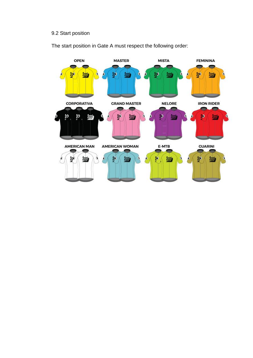## 9.2 Start position

The start position in Gate A must respect the following order:

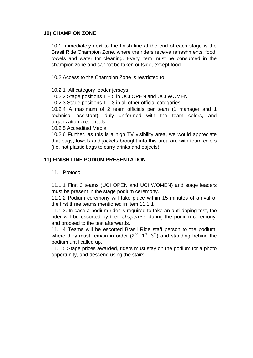### **10) CHAMPION ZONE**

10.1 Immediately next to the finish line at the end of each stage is the Brasil Ride Champion Zone, where the riders receive refreshments, food, towels and water for cleaning. Every item must be consumed in the champion zone and cannot be taken outside, except food.

10.2 Access to the Champion Zone is restricted to:

10.2.1 All category leader jerseys

10.2.2 Stage positions 1 – 5 in UCI OPEN and UCI WOMEN

10.2.3 Stage positions 1 – 3 in all other official categories

10.2.4 A maximum of 2 team officials per team (1 manager and 1 technical assistant), duly uniformed with the team colors, and organization credentials.

10.2.5 Accredited Media

10.2.6 Further, as this is a high TV visibility area, we would appreciate that bags, towels and jackets brought into this area are with team colors (i.e. not plastic bags to carry drinks and objects).

## **11) FINISH LINE PODIUM PRESENTATION**

#### 11.1 Protocol

11.1.1 First 3 teams (UCI OPEN and UCI WOMEN) and stage leaders must be present in the stage podium ceremony.

11.1.2 Podium ceremony will take place within 15 minutes of arrival of the first three teams mentioned in item 11.1.1

11.1.3. In case a podium rider is required to take an anti-doping test, the rider will be escorted by their *chaperone* during the podium ceremony, and proceed to the test afterwards.

11.1.4 Teams will be escorted Brasil Ride staff person to the podium, where they must remain in order  $(2^{nd}, 1^{st}, 3^{rd})$  and standing behind the podium until called up.

11.1.5 Stage prizes awarded, riders must stay on the podium for a photo opportunity, and descend using the stairs.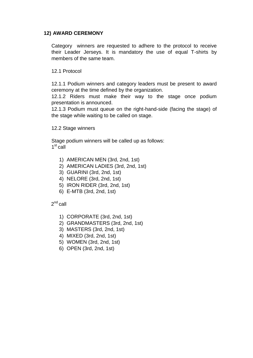### **12) AWARD CEREMONY**

Category winners are requested to adhere to the protocol to receive their Leader Jerseys. It is mandatory the use of equal T-shirts by members of the same team.

12.1 Protocol

12.1.1 Podium winners and category leaders must be present to award ceremony at the time defined by the organization.

12.1.2 Riders must make their way to the stage once podium presentation is announced.

12.1.3 Podium must queue on the right-hand-side (facing the stage) of the stage while waiting to be called on stage.

12.2 Stage winners

Stage podium winners will be called up as follows: 1<sup>st</sup> call

- 1) AMERICAN MEN (3rd, 2nd, 1st)
- 2) AMERICAN LADIES (3rd, 2nd, 1st)
- 3) GUARINI (3rd, 2nd, 1st)
- 4) NELORE (3rd, 2nd, 1st)
- 5) IRON RIDER (3rd, 2nd, 1st)
- 6) E-MTB (3rd, 2nd, 1st)

 $2^{\text{nd}}$  call

- 1) CORPORATE (3rd, 2nd, 1st)
- 2) GRANDMASTERS (3rd, 2nd, 1st)
- 3) MASTERS (3rd, 2nd, 1st)
- 4) MIXED (3rd, 2nd, 1st)
- 5) WOMEN (3rd, 2nd, 1st)
- 6) OPEN (3rd, 2nd, 1st)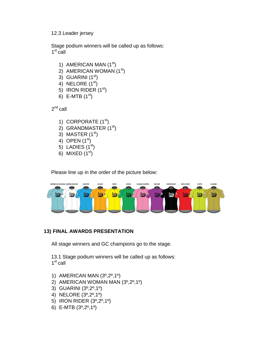#### 12.3 Leader jersey

Stage podium winners will be called up as follows: 1<sup>st</sup> call

- 1) AMERICAN MAN (1<sup>st</sup>)
- 2) AMERICAN WOMAN (1<sup>st</sup>)
- 3) GUARINI  $(1<sup>st</sup>)$
- 4) NELORE  $(1<sup>st</sup>)$
- 5) IRON RIDER  $(1<sup>st</sup>)$
- 6) E-MTB  $(1^{st})$

 $2^{nd}$ call

- 1) CORPORATE  $(1<sup>st</sup>)$
- 2) GRANDMASTER (1<sup>st</sup>)
- 3) MASTER  $(1<sup>st</sup>)$
- 4) OPEN  $(1^{st})$
- 5) LADIES  $(1<sup>st</sup>)$
- 6) MIXED  $(1<sup>st</sup>)$

Please line up in the order of the picture below:



## **13) FINAL AWARDS PRESENTATION**

All stage winners and GC champions go to the stage.

13.1 Stage podium winners will be called up as follows: 1<sup>st</sup> call

- 1) AMERICAN MAN (3º,2º,1º)
- 2) AMERICAN WOMAN MAN (3º,2º,1º)
- 3) GUARINI (3º,2º,1º)
- 4) NELORE (3º,2º,1º)
- 5) IRON RIDER (3º,2º,1º)
- 6) E-MTB (3º,2º,1º)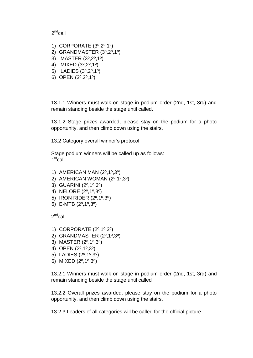#### 2<sup>nd</sup>call

- 1) CORPORATE (3º,2º,1º)
- 2) GRANDMASTER (3º,2º,1º)
- 3) MASTER (3º,2º,1º)
- 4) MIXED (3º,2º,1º)
- 5) LADIES (3º,2º,1º)
- 6) OPEN (3º,2º,1º)

13.1.1 Winners must walk on stage in podium order (2nd, 1st, 3rd) and remain standing beside the stage until called.

13.1.2 Stage prizes awarded, please stay on the podium for a photo opportunity, and then climb down using the stairs.

13.2 Category overall winner's protocol

Stage podium winners will be called up as follows: 1<sup>st</sup>call

- 1) AMERICAN MAN (2º,1º,3º)
- 2) AMERICAN WOMAN (2º,1º,3º)
- 3) GUARINI (2º,1º,3º)
- 4) NELORE (2º,1º,3º)
- 5) IRON RIDER (2º,1º,3º)
- 6) E-MTB (2º,1º,3º)

 $2^{\text{nd}}$ call

- 1) CORPORATE (2º,1º,3º)
- 2) GRANDMASTER (2º,1º,3º)
- 3) MASTER (2º,1º,3º)
- 4) OPEN (2º,1º,3º)
- 5) LADIES (2º,1º,3º)
- 6) MIXED (2º,1º,3º)

13.2.1 Winners must walk on stage in podium order (2nd, 1st, 3rd) and remain standing beside the stage until called

13.2.2 Overall prizes awarded, please stay on the podium for a photo opportunity, and then climb down using the stairs.

13.2.3 Leaders of all categories will be called for the official picture.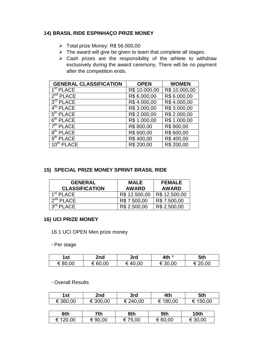## **14) BRASIL RIDE ESPINHAÇO PRIZE MONEY**

- Total prize Money: R\$ 56.000,00
- $\triangleright$  The award will give be given to team that complete all stages.
- $\triangleright$  Cash prizes are the responsibility of the athlete to withdraw exclusively during the award ceremony. There will be no payment after the competition ends.

| <b>GENERAL CLASSIFICATION</b>    | <b>OPEN</b>   | <b>WOMEN</b>  |
|----------------------------------|---------------|---------------|
| $\overline{1^{\text{st}}}$ PLACE | R\$ 10.000,00 | R\$ 10.000,00 |
| 2 <sup>sd</sup> PLACE            | R\$ 6.000,00  | R\$ 6.000,00  |
| $3rd$ PLACE                      | R\$4.000,00   | R\$4.000,00   |
| 4 <sup>th</sup> PLACE            | R\$ 3.000,00  | R\$ 3.000,00  |
| 5 <sup>th</sup> PLACE            | R\$ 2.000,00  | R\$ 2.000,00  |
| $6th$ PLACE                      | R\$ 1.000,00  | R\$ 1.000,00  |
| $7th$ PLACE                      | R\$800,00     | R\$800,00     |
| $8th$ PLACE                      | R\$ 600,00    | R\$ 600,00    |
| 9 <sup>th</sup> PLACE            | R\$400,00     | R\$400,00     |
| $10th$ PLACE                     | R\$ 200,00    | R\$ 200,00    |

## **15) SPECIAL PRIZE MONEY SPRINT BRASIL RIDE**

| <b>GENERAL</b>        | <b>MALE</b>   | <b>FEMALE</b> |
|-----------------------|---------------|---------------|
| <b>CLASSIFICATION</b> | <b>AWARD</b>  | <b>AWARD</b>  |
| 1 <sup>st</sup> PLACE | R\$ 12.500,00 | R\$ 12.500,00 |
| $2sd$ PLACE           | R\$ 7.500,00  | R\$ 7.500,00  |
| $3rd$ PLACE           | R\$ 2.500,00  | R\$ 2.500,00  |

#### **16) UCI PRIZE MONEY**

16.1 UCI OPEN Men prize money

- Per stage

| 1st     | 2nd     | 3rd    | 4th °   | 5th     |
|---------|---------|--------|---------|---------|
| € 80,00 | € 60,00 | €40,00 | € 30,00 | € 20,00 |

#### - Overall Results

| 1st      | 2nd      | 3rd      | 4th      | 5th      |  |
|----------|----------|----------|----------|----------|--|
| € 360,00 | € 300,00 | € 240,00 | € 180,00 | € 150,00 |  |
|          |          |          |          |          |  |
| 6th      | 7th      | 8th      | 9th      | 10th     |  |
| € 120,00 | € 90,00  | € 75,00  | € 60,00  | € 30,00  |  |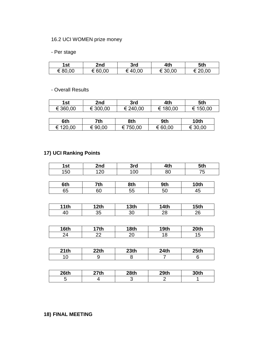## 16.2 UCI WOMEN prize money

## - Per stage

| 1st     | 2nd     | 3rd    | 4th     | 5th     |
|---------|---------|--------|---------|---------|
| € 80,00 | € 60,00 | €40,00 | € 30,00 | € 20,00 |

- Overall Results

| 1st      | 2nd      | 3rd      | 4th      | 5th      |
|----------|----------|----------|----------|----------|
| € 360,00 | € 300,00 | € 240,00 | € 180,00 | € 150,00 |

| 6th      | 7th     | 8th      | 9th     | <b>10th</b> |
|----------|---------|----------|---------|-------------|
| € 120,00 | € 90,00 | € 750,00 | € 60,00 | € 30,00     |

## **17) UCI Ranking Points**

| 1st  | 2nd              | 3rd              | 4th              | 5th              |
|------|------------------|------------------|------------------|------------------|
| 150  | 120              | 100              | 80               | 75               |
|      |                  |                  |                  |                  |
| 6th  | 7th              | 8th              | 9th              | 10th             |
| 65   | 60               | 55               | 50               | 45               |
|      |                  |                  |                  |                  |
| 11th | 12 <sub>th</sub> | 13 <sub>th</sub> | <b>14th</b>      | 15 <sub>th</sub> |
| 40   | 35               | 30               | 28               | 26               |
|      |                  |                  |                  |                  |
| 16th | 17 <sub>th</sub> | 18th             | 19 <sub>th</sub> | 20th             |
| 24   | 22               | 20               | 18               | 15               |
|      |                  |                  |                  |                  |
| 21th | 22th             | 23 <sub>th</sub> | 24th             | 25 <sub>th</sub> |
| 10   | 9                | 8                | 7                | 6                |

| 26 <sub>th</sub> | າ7th | 28th | 29th | 30th |
|------------------|------|------|------|------|
|                  |      |      |      |      |

## **18) FINAL MEETING**